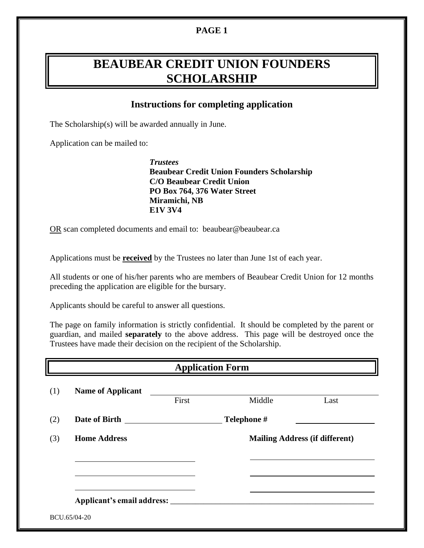# **PAGE 1**

# **BEAUBEAR CREDIT UNION FOUNDERS SCHOLARSHIP**

# **Instructions for completing application**

The Scholarship(s) will be awarded annually in June.

Application can be mailed to:

*Trustees* **Beaubear Credit Union Founders Scholarship C/O Beaubear Credit Union PO Box 764, 376 Water Street Miramichi, NB E1V 3V4**

OR scan completed documents and email to: beaubear@beaubear.ca

Applications must be **received** by the Trustees no later than June 1st of each year.

All students or one of his/her parents who are members of Beaubear Credit Union for 12 months preceding the application are eligible for the bursary.

Applicants should be careful to answer all questions.

The page on family information is strictly confidential. It should be completed by the parent or guardian, and mailed **separately** to the above address. This page will be destroyed once the Trustees have made their decision on the recipient of the Scholarship.

| <b>Application Form</b>     |       |             |                                       |  |
|-----------------------------|-------|-------------|---------------------------------------|--|
| <b>Name of Applicant</b>    | First | Middle      | Last                                  |  |
| Date of Birth Date of Birth |       | Telephone # |                                       |  |
|                             |       |             |                                       |  |
| <b>Home Address</b>         |       |             | <b>Mailing Address (if different)</b> |  |
|                             |       |             |                                       |  |
|                             |       |             |                                       |  |
|                             |       |             |                                       |  |
|                             |       |             |                                       |  |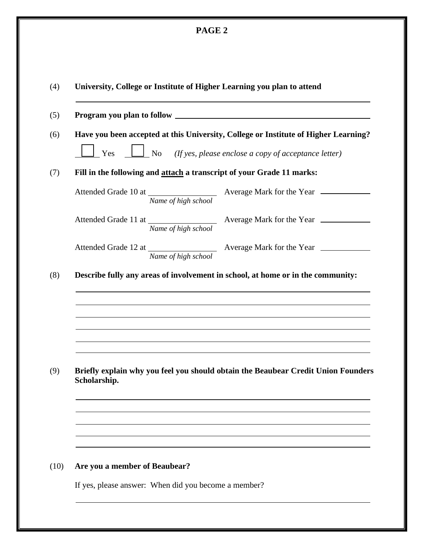| O<br>ч. |  |
|---------|--|
|---------|--|

|                               | Have you been accepted at this University, College or Institute of Higher Learning? |
|-------------------------------|-------------------------------------------------------------------------------------|
| $\perp$ Yes                   | $\Box$ No (If yes, please enclose a copy of acceptance letter)                      |
|                               | Fill in the following and attach a transcript of your Grade 11 marks:               |
|                               | Attended Grade 10 at Name of high school Average Mark for the Year ______________   |
|                               | Attended Grade 11 at Name of high school Average Mark for the Year ______________   |
| Name of high school           |                                                                                     |
|                               | Describe fully any areas of involvement in school, at home or in the community:     |
|                               |                                                                                     |
| Scholarship.                  | Briefly explain why you feel you should obtain the Beaubear Credit Union Founders   |
|                               |                                                                                     |
| Are you a member of Beaubear? |                                                                                     |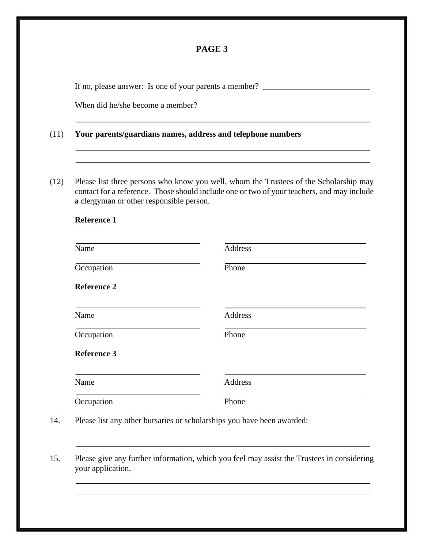## **PAGE 3**

If no, please answer: Is one of your parents a member?

When did he/she become a member?

#### (11) **Your parents/guardians names, address and telephone numbers**

(12) Please list three persons who know you well, whom the Trustees of the Scholarship may contact for a reference. Those should include one or two of your teachers, and may include a clergyman or other responsible person.

## **Reference 1**

j

Ī

| Name               | Address |
|--------------------|---------|
| Occupation         | Phone   |
| <b>Reference 2</b> |         |
| Name               | Address |
| Occupation         | Phone   |
| <b>Reference 3</b> |         |
| Name               | Address |
| Occupation         | Phone   |

15. Please give any further information, which you feel may assist the Trustees in considering your application.